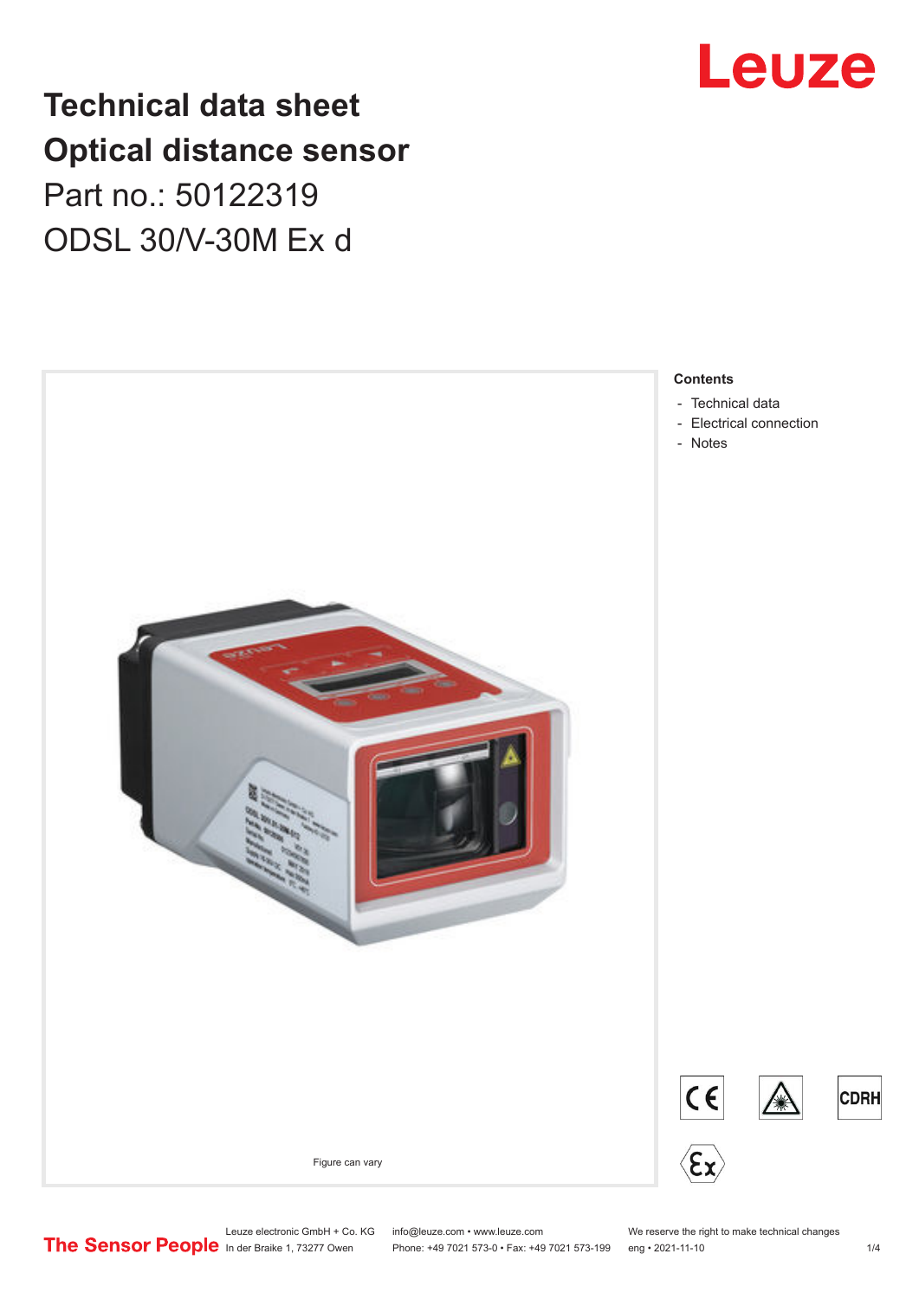## **Technical data sheet Optical distance sensor** Part no.: 50122319 ODSL 30/V-30M Ex d





Leuze electronic GmbH + Co. KG info@leuze.com • www.leuze.com We reserve the right to make technical changes<br> **The Sensor People** in der Braike 1, 73277 Owen Phone: +49 7021 573-0 • Fax: +49 7021 573-199 eng • 2021-11-10

Phone: +49 7021 573-0 • Fax: +49 7021 573-199 eng • 2021-11-10 1 2021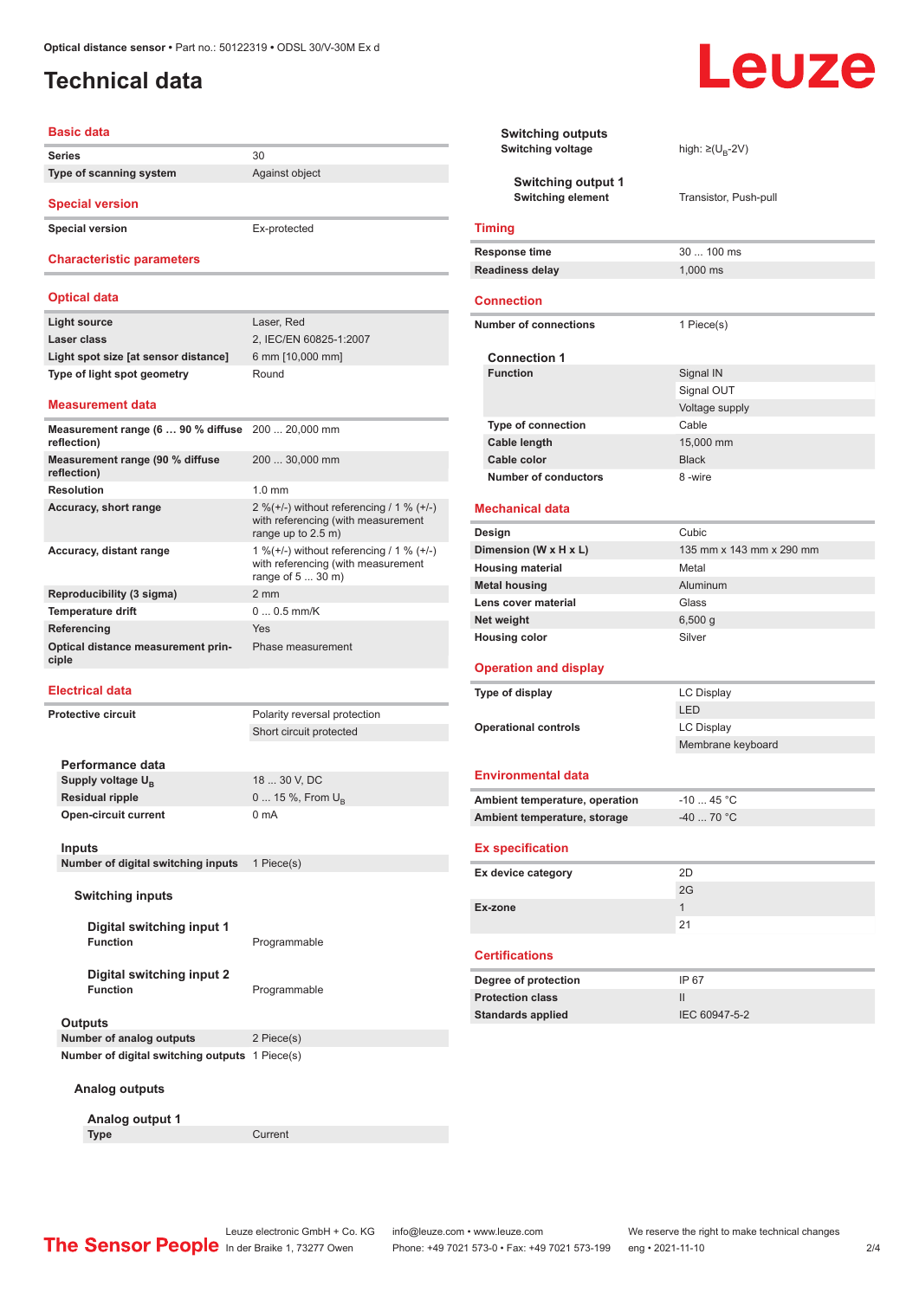## <span id="page-1-0"></span>**Technical data**

#### **Basic data**

**Series** 30 **Type of scanning system** Against object

**Special version**

**Special version** Ex-protected

#### **Characteristic parameters**

#### **Optical data**

| Light source                         | Laser, Red             |
|--------------------------------------|------------------------|
| Laser class                          | 2, IEC/EN 60825-1:2007 |
| Light spot size [at sensor distance] | 6 mm [10,000 mm]       |
| Type of light spot geometry          | Round                  |
|                                      |                        |

#### **Measurement data**

| <b>Measurement range (6  90 % diffuse</b> 200  20,000 mm<br>reflection) |                                                                                                              |
|-------------------------------------------------------------------------|--------------------------------------------------------------------------------------------------------------|
| Measurement range (90 % diffuse<br>reflection)                          | 200  30,000 mm                                                                                               |
| <b>Resolution</b>                                                       | $1.0 \text{ mm}$                                                                                             |
| Accuracy, short range                                                   | 2 %( $+/-$ ) without referencing / 1 % ( $+/-$ )<br>with referencing (with measurement<br>range up to 2.5 m) |
| Accuracy, distant range                                                 | 1 % (+/-) without referencing / 1 % (+/-)<br>with referencing (with measurement<br>range of 5  30 m)         |
| Reproducibility (3 sigma)                                               | $2 \text{ mm}$                                                                                               |
| <b>Temperature drift</b>                                                | $00.5$ mm/K                                                                                                  |
| Referencing                                                             | Yes                                                                                                          |
| Optical distance measurement prin-<br>ciple                             | Phase measurement                                                                                            |

#### **Electrical data**

**Protective circuit** Polarity reversal protection

Short circuit protected

**Performance data** Supply voltage U<sub>B</sub><br>Residual ripple 18 ... 30 V, DC **0 ... 15 %, From U<sub>B</sub> Open-circuit current** 0 mA

#### **Inputs**

**Number of digital switching inputs** 1 Piece(s)

#### **Switching inputs**

**Digital switching input 1 Function** Programmable

**Digital switching input 2**

**Programmable** 

#### **Outputs**

**Number of analog outputs** 2 Piece(s) **Number of digital switching outputs** 1 Piece(s)

#### **Analog outputs**

**Analog output 1 Type** Current

Leuze

|                              | <b>Switching outputs</b><br><b>Switching voltage</b>  | high: $\geq (U_{B} - 2V)$ |
|------------------------------|-------------------------------------------------------|---------------------------|
|                              | <b>Switching output 1</b><br><b>Switching element</b> | Transistor, Push-pull     |
|                              | <b>Timing</b>                                         |                           |
|                              | Response time                                         | 30  100 ms                |
|                              | <b>Readiness delay</b>                                | 1,000 ms                  |
|                              | <b>Connection</b>                                     |                           |
| <b>Number of connections</b> |                                                       | 1 Piece(s)                |
|                              | <b>Connection 1</b>                                   |                           |
|                              | <b>Function</b>                                       | Signal IN                 |
|                              |                                                       | Signal OUT                |
|                              |                                                       | Voltage supply            |
|                              | Type of connection                                    | Cable                     |
|                              | <b>Cable length</b>                                   | 15,000 mm                 |
|                              | Cable color                                           | <b>Black</b>              |
|                              | <b>Number of conductors</b>                           | 8-wire                    |
|                              | <b>Mechanical data</b>                                |                           |
|                              | Design                                                | Cubic                     |
|                              | Dimension (W x H x L)                                 | 135 mm x 143 mm x 290 mm  |
|                              | <b>Housing material</b>                               | Metal                     |
|                              | <b>Metal housing</b>                                  | Aluminum                  |
|                              | Lens cover material                                   | Glass                     |
| Net weight                   |                                                       | 6,500 g                   |
| <b>Housing color</b>         |                                                       | Silver                    |
|                              | <b>Operation and display</b>                          |                           |
| Type of display              |                                                       | LC Display                |
|                              |                                                       | LED                       |
|                              | <b>Operational controls</b>                           | <b>LC Display</b>         |
|                              |                                                       | Membrane keyboard         |
|                              | <b>Environmental data</b>                             |                           |
|                              | Ambient temperature, operation                        | $-1045 °C$                |
|                              | Ambient temperature, storage                          | $-4070 °C$                |
|                              | <b>Ex specification</b>                               |                           |
|                              | Ex device category                                    | 2D                        |
|                              |                                                       | 2G                        |
|                              | Ex-zone                                               | $\mathbf{1}$              |
|                              |                                                       | 21                        |
|                              | <b>Certifications</b>                                 |                           |
|                              | Degree of protection                                  | IP 67                     |
|                              | <b>Protection class</b>                               | Ш                         |
|                              | <b>Standards applied</b>                              | IEC 60947-5-2             |
|                              |                                                       |                           |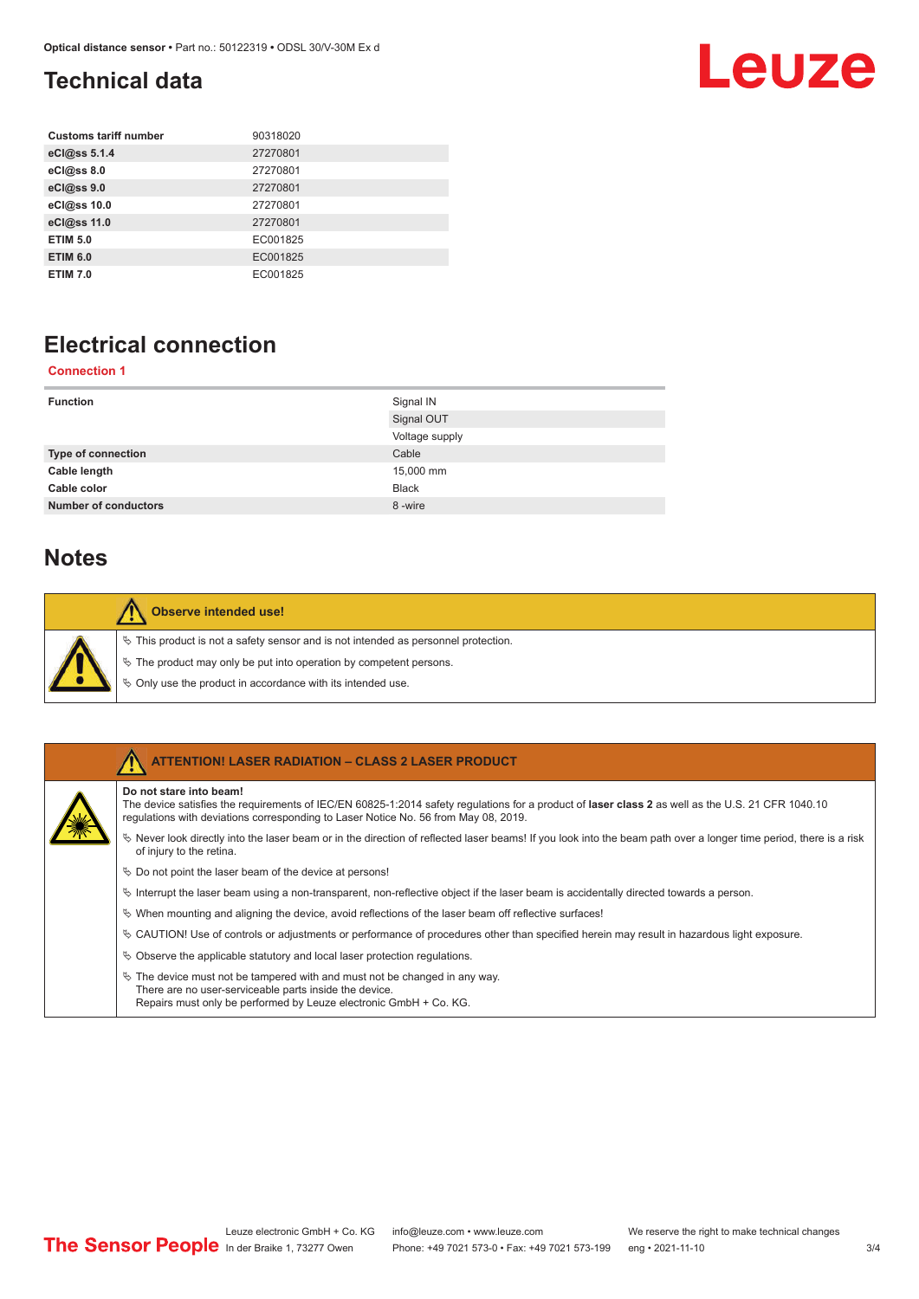## <span id="page-2-0"></span>**Technical data**

## Leuze

| <b>Customs tariff number</b> | 90318020 |
|------------------------------|----------|
| eCl@ss 5.1.4                 | 27270801 |
| eCl@ss 8.0                   | 27270801 |
| eCl@ss 9.0                   | 27270801 |
| eCl@ss 10.0                  | 27270801 |
| eCl@ss 11.0                  | 27270801 |
| <b>ETIM 5.0</b>              | EC001825 |
| <b>ETIM 6.0</b>              | EC001825 |
| <b>ETIM 7.0</b>              | EC001825 |

## **Electrical connection**

#### **Connection 1**

| <b>Function</b>             | Signal IN      |
|-----------------------------|----------------|
|                             | Signal OUT     |
|                             | Voltage supply |
| <b>Type of connection</b>   | Cable          |
| Cable length                | 15,000 mm      |
| Cable color                 | <b>Black</b>   |
| <b>Number of conductors</b> | 8-wire         |

### **Notes**

| <b>Observe intended use!</b>                                                                                                                                                                                                     |
|----------------------------------------------------------------------------------------------------------------------------------------------------------------------------------------------------------------------------------|
| $\%$ This product is not a safety sensor and is not intended as personnel protection.<br>$\&$ The product may only be put into operation by competent persons.<br>$\&$ Only use the product in accordance with its intended use. |

|  | <b>ATTENTION! LASER RADIATION - CLASS 2 LASER PRODUCT</b>                                                                                                                                                                                                           |
|--|---------------------------------------------------------------------------------------------------------------------------------------------------------------------------------------------------------------------------------------------------------------------|
|  | Do not stare into beam!<br>The device satisfies the requirements of IEC/EN 60825-1:2014 safety requlations for a product of laser class 2 as well as the U.S. 21 CFR 1040.10<br>requlations with deviations corresponding to Laser Notice No. 56 from May 08, 2019. |
|  | Never look directly into the laser beam or in the direction of reflected laser beams! If you look into the beam path over a longer time period, there is a risk<br>of injury to the retina.                                                                         |
|  | $\&$ Do not point the laser beam of the device at persons!                                                                                                                                                                                                          |
|  | $\%$ Interrupt the laser beam using a non-transparent, non-reflective object if the laser beam is accidentally directed towards a person.                                                                                                                           |
|  | $\%$ When mounting and aligning the device, avoid reflections of the laser beam off reflective surfaces!                                                                                                                                                            |
|  | $\&$ CAUTION! Use of controls or adjustments or performance of procedures other than specified herein may result in hazardous light exposure.                                                                                                                       |
|  | $\%$ Observe the applicable statutory and local laser protection regulations.                                                                                                                                                                                       |
|  | $\%$ The device must not be tampered with and must not be changed in any way.<br>There are no user-serviceable parts inside the device.<br>Repairs must only be performed by Leuze electronic GmbH + Co. KG.                                                        |